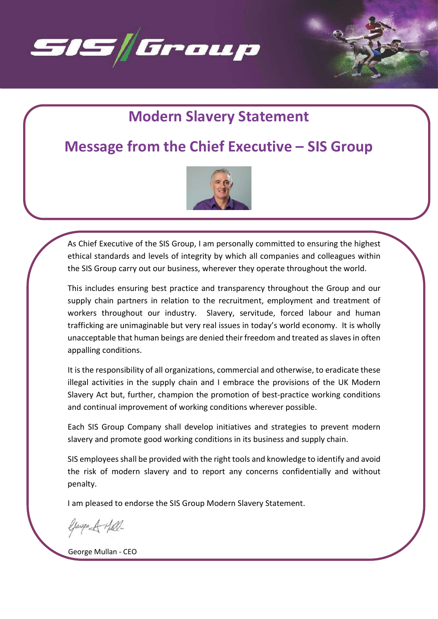

# Modern Slavery Statement

## Message from the Chief Executive – SIS Group



As Chief Executive of the SIS Group, I am personally committed to ensuring the highest ethical standards and levels of integrity by which all companies and colleagues within the SIS Group carry out our business, wherever they operate throughout the world.

This includes ensuring best practice and transparency throughout the Group and our supply chain partners in relation to the recruitment, employment and treatment of workers throughout our industry. Slavery, servitude, forced labour and human trafficking are unimaginable but very real issues in today's world economy. It is wholly unacceptable that human beings are denied their freedom and treated as slaves in often appalling conditions.

It is the responsibility of all organizations, commercial and otherwise, to eradicate these illegal activities in the supply chain and I embrace the provisions of the UK Modern Slavery Act but, further, champion the promotion of best-practice working conditions and continual improvement of working conditions wherever possible.

Each SIS Group Company shall develop initiatives and strategies to prevent modern slavery and promote good working conditions in its business and supply chain.

SIS employees shall be provided with the right tools and knowledge to identify and avoid the risk of modern slavery and to report any concerns confidentially and without penalty.

I am pleased to endorse the SIS Group Modern Slavery Statement.

George A Hill-

George Mullan - CEO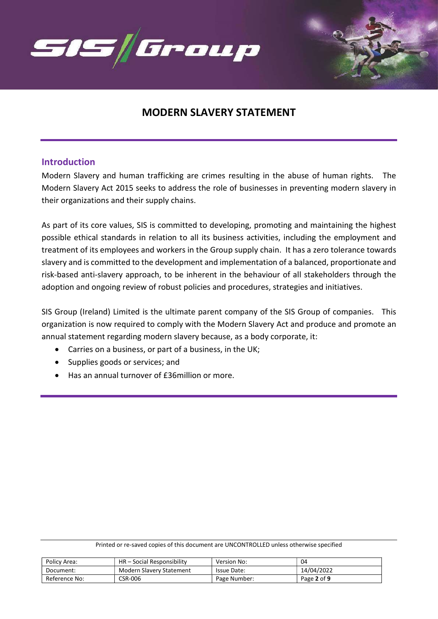

## MODERN SLAVERY STATEMENT

### Introduction

Modern Slavery and human trafficking are crimes resulting in the abuse of human rights. The Modern Slavery Act 2015 seeks to address the role of businesses in preventing modern slavery in their organizations and their supply chains.

As part of its core values, SIS is committed to developing, promoting and maintaining the highest possible ethical standards in relation to all its business activities, including the employment and treatment of its employees and workers in the Group supply chain. It has a zero tolerance towards slavery and is committed to the development and implementation of a balanced, proportionate and risk-based anti-slavery approach, to be inherent in the behaviour of all stakeholders through the adoption and ongoing review of robust policies and procedures, strategies and initiatives.

SIS Group (Ireland) Limited is the ultimate parent company of the SIS Group of companies. This organization is now required to comply with the Modern Slavery Act and produce and promote an annual statement regarding modern slavery because, as a body corporate, it:

- Carries on a business, or part of a business, in the UK;
- Supplies goods or services; and
- Has an annual turnover of £36million or more.

| Policy Area:  | HR – Social Responsibility | Version No:  | 04          |
|---------------|----------------------------|--------------|-------------|
| Document:     | Modern Slavery Statement   | Issue Date:  | 14/04/2022  |
| Reference No: | <b>CSR-006</b>             | Page Number: | Page 2 of 9 |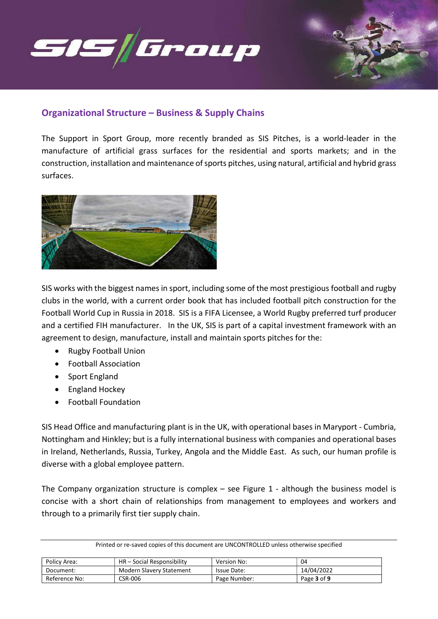

## Organizational Structure – Business & Supply Chains

The Support in Sport Group, more recently branded as SIS Pitches, is a world-leader in the manufacture of artificial grass surfaces for the residential and sports markets; and in the construction, installation and maintenance of sports pitches, using natural, artificial and hybrid grass surfaces.



SIS works with the biggest names in sport, including some of the most prestigious football and rugby clubs in the world, with a current order book that has included football pitch construction for the Football World Cup in Russia in 2018. SIS is a FIFA Licensee, a World Rugby preferred turf producer and a certified FIH manufacturer. In the UK, SIS is part of a capital investment framework with an agreement to design, manufacture, install and maintain sports pitches for the:

- Rugby Football Union
- Football Association
- Sport England
- England Hockey
- Football Foundation

SIS Head Office and manufacturing plant is in the UK, with operational bases in Maryport - Cumbria, Nottingham and Hinkley; but is a fully international business with companies and operational bases in Ireland, Netherlands, Russia, Turkey, Angola and the Middle East. As such, our human profile is diverse with a global employee pattern.

The Company organization structure is complex  $-$  see Figure 1 - although the business model is concise with a short chain of relationships from management to employees and workers and through to a primarily first tier supply chain.

| Policy Area:  | HR - Social Responsibility      | Version No:  | 04          |
|---------------|---------------------------------|--------------|-------------|
| Document:     | <b>Modern Slavery Statement</b> | Issue Date:  | 14/04/2022  |
| Reference No: | CSR-006                         | Page Number: | Page 3 of 9 |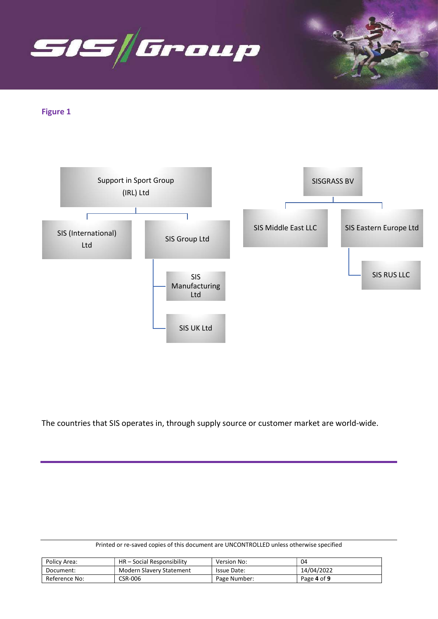

Figure 1



The countries that SIS operates in, through supply source or customer market are world-wide.

|  | Printed or re-saved copies of this document are UNCONTROLLED unless otherwise specified |
|--|-----------------------------------------------------------------------------------------|
|  |                                                                                         |

| Policy Area:  | HR – Social Responsibility | Version No:  | 04          |
|---------------|----------------------------|--------------|-------------|
| Document:     | Modern Slavery Statement   | Issue Date:  | 14/04/2022  |
| Reference No: | <b>CSR-006</b>             | Page Number: | Page 4 of 9 |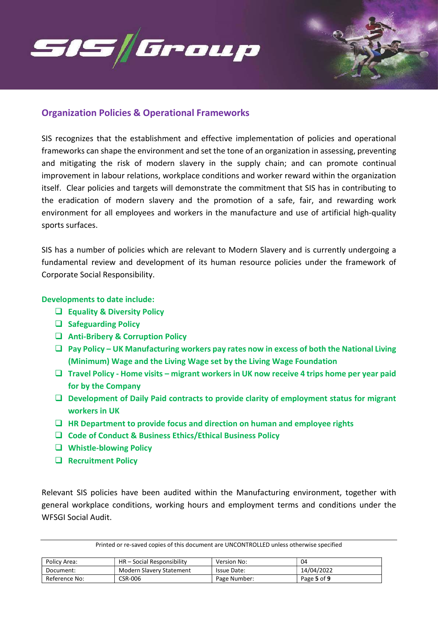

### Organization Policies & Operational Frameworks

SIS recognizes that the establishment and effective implementation of policies and operational frameworks can shape the environment and set the tone of an organization in assessing, preventing and mitigating the risk of modern slavery in the supply chain; and can promote continual improvement in labour relations, workplace conditions and worker reward within the organization itself. Clear policies and targets will demonstrate the commitment that SIS has in contributing to the eradication of modern slavery and the promotion of a safe, fair, and rewarding work environment for all employees and workers in the manufacture and use of artificial high-quality sports surfaces.

SIS has a number of policies which are relevant to Modern Slavery and is currently undergoing a fundamental review and development of its human resource policies under the framework of Corporate Social Responsibility.

#### Developments to date include:

- $\Box$  Equality & Diversity Policy
- $\Box$  Safeguarding Policy
- Anti-Bribery & Corruption Policy
- $\Box$  Pay Policy UK Manufacturing workers pay rates now in excess of both the National Living (Minimum) Wage and the Living Wage set by the Living Wage Foundation
- $\Box$  Travel Policy Home visits migrant workers in UK now receive 4 trips home per year paid for by the Company
- $\Box$  Development of Daily Paid contracts to provide clarity of employment status for migrant workers in UK
- $\Box$  HR Department to provide focus and direction on human and employee rights
- $\Box$  Code of Conduct & Business Ethics/Ethical Business Policy
- □ Whistle-blowing Policy
- Recruitment Policy

Relevant SIS policies have been audited within the Manufacturing environment, together with general workplace conditions, working hours and employment terms and conditions under the WFSGI Social Audit.

| Policy Area:  | HR - Social Responsibility | Version No:        | 04          |
|---------------|----------------------------|--------------------|-------------|
| Document:     | Modern Slavery Statement   | <b>Issue Date:</b> | 14/04/2022  |
| Reference No: | <b>CSR-006</b>             | Page Number:       | Page 5 of 9 |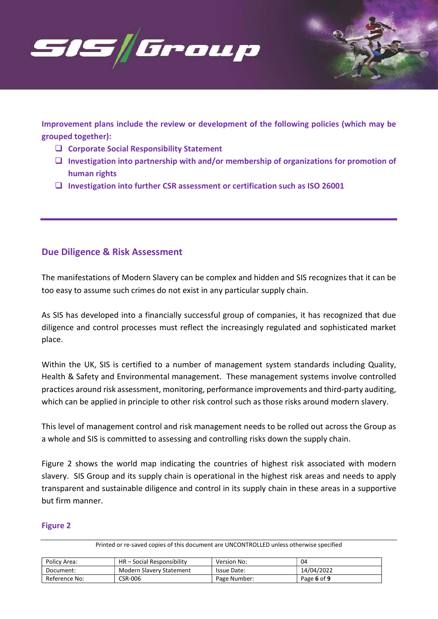

Improvement plans include the review or development of the following policies (which may be grouped together):

- $\Box$  Corporate Social Responsibility Statement
- $\Box$  Investigation into partnership with and/or membership of organizations for promotion of human rights
- $\square$  Investigation into further CSR assessment or certification such as ISO 26001

## Due Diligence & Risk Assessment

The manifestations of Modern Slavery can be complex and hidden and SIS recognizes that it can be too easy to assume such crimes do not exist in any particular supply chain.

As SIS has developed into a financially successful group of companies, it has recognized that due diligence and control processes must reflect the increasingly regulated and sophisticated market place.

Within the UK, SIS is certified to a number of management system standards including Quality, Health & Safety and Environmental management. These management systems involve controlled practices around risk assessment, monitoring, performance improvements and third-party auditing, which can be applied in principle to other risk control such as those risks around modern slavery.

This level of management control and risk management needs to be rolled out across the Group as a whole and SIS is committed to assessing and controlling risks down the supply chain.

Figure 2 shows the world map indicating the countries of highest risk associated with modern slavery. SIS Group and its supply chain is operational in the highest risk areas and needs to apply transparent and sustainable diligence and control in its supply chain in these areas in a supportive but firm manner.

#### Figure 2

| Policy Area:  | HR – Social Responsibility | Version No:        | 04          |
|---------------|----------------------------|--------------------|-------------|
| Document:     | Modern Slavery Statement   | <b>Issue Date:</b> | 14/04/2022  |
| Reference No: | CSR-006                    | Page Number:       | Page 6 of 9 |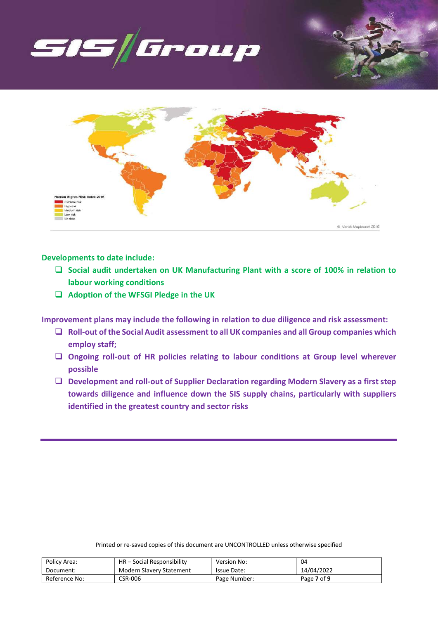



Developments to date include:

- $\square$  Social audit undertaken on UK Manufacturing Plant with a score of 100% in relation to labour working conditions
- $\Box$  Adoption of the WFSGI Pledge in the UK

Improvement plans may include the following in relation to due diligence and risk assessment:

- $\Box$  Roll-out of the Social Audit assessment to all UK companies and all Group companies which employ staff;
- $\Box$  Ongoing roll-out of HR policies relating to labour conditions at Group level wherever possible
- Development and roll-out of Supplier Declaration regarding Modern Slavery as a first step towards diligence and influence down the SIS supply chains, particularly with suppliers identified in the greatest country and sector risks

|  | Printed or re-saved copies of this document are UNCONTROLLED unless otherwise specified |
|--|-----------------------------------------------------------------------------------------|
|  |                                                                                         |

| Policy Area:  | HR – Social Responsibility | <b>Version No:</b> | 04          |
|---------------|----------------------------|--------------------|-------------|
| Document:     | Modern Slavery Statement   | <b>Issue Date:</b> | 14/04/2022  |
| Reference No: | CSR-006                    | Page Number:       | Page 7 of 9 |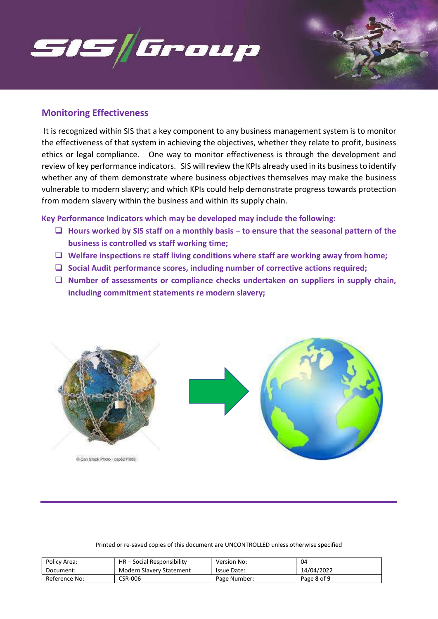

## Monitoring Effectiveness

 It is recognized within SIS that a key component to any business management system is to monitor the effectiveness of that system in achieving the objectives, whether they relate to profit, business ethics or legal compliance. One way to monitor effectiveness is through the development and review of key performance indicators. SIS will review the KPIs already used in its business to identify whether any of them demonstrate where business objectives themselves may make the business vulnerable to modern slavery; and which KPIs could help demonstrate progress towards protection from modern slavery within the business and within its supply chain.

Key Performance Indicators which may be developed may include the following:

- $\Box$  Hours worked by SIS staff on a monthly basis to ensure that the seasonal pattern of the business is controlled vs staff working time;
- $\Box$  Welfare inspections re staff living conditions where staff are working away from home;
- $\square$  Social Audit performance scores, including number of corrective actions required;
- $\Box$  Number of assessments or compliance checks undertaken on suppliers in supply chain, including commitment statements re modern slavery;



| Policy Area:  | HR – Social Responsibility | Version No:        | 04          |
|---------------|----------------------------|--------------------|-------------|
| Document:     | Modern Slavery Statement   | <b>Issue Date:</b> | 14/04/2022  |
| Reference No: | CSR-006                    | Page Number:       | Page 8 of 9 |